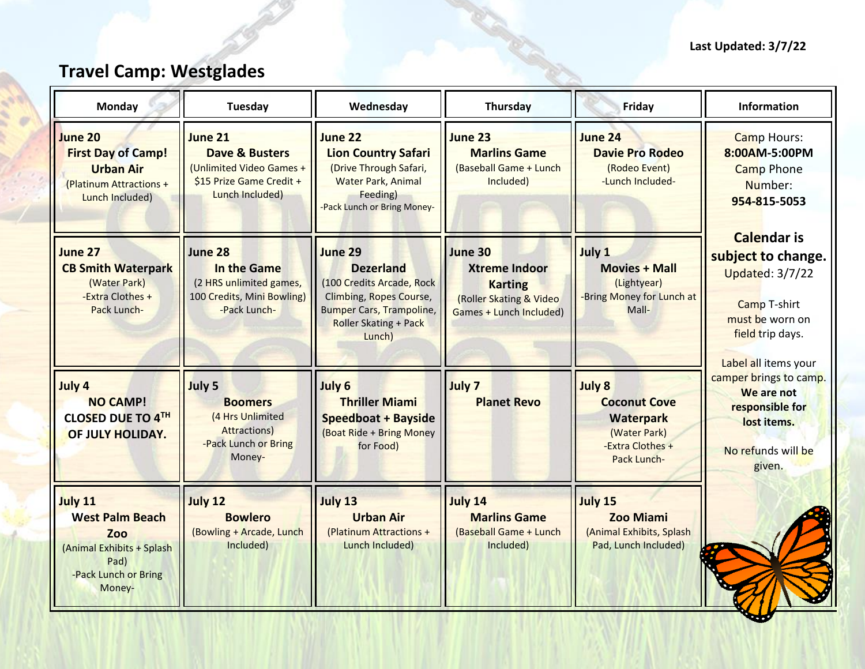## **Last Updated: 3/7/22**

## **Travel Camp: Westglades**

| <b>Monday</b>                                                                                                          | Tuesday                                                                                                         | Wednesday                                                                                                                                                 | Thursday                                                                                                | Friday                                                                                        | Information                                                                                                                                       |
|------------------------------------------------------------------------------------------------------------------------|-----------------------------------------------------------------------------------------------------------------|-----------------------------------------------------------------------------------------------------------------------------------------------------------|---------------------------------------------------------------------------------------------------------|-----------------------------------------------------------------------------------------------|---------------------------------------------------------------------------------------------------------------------------------------------------|
| June 20<br><b>First Day of Camp!</b><br><b>Urban Air</b><br>(Platinum Attractions +<br>Lunch Included)                 | June 21<br><b>Dave &amp; Busters</b><br>(Unlimited Video Games +<br>\$15 Prize Game Credit +<br>Lunch Included) | June 22<br><b>Lion Country Safari</b><br>(Drive Through Safari,<br><b>Water Park, Animal</b><br>Feeding)<br>-Pack Lunch or Bring Money-                   | June 23<br><b>Marlins Game</b><br>(Baseball Game + Lunch<br>Included)                                   | <b>June 24</b><br><b>Davie Pro Rodeo</b><br>(Rodeo Event)<br>-Lunch Included-                 | <b>Camp Hours:</b><br>8:00AM-5:00PM<br><b>Camp Phone</b><br>Number:<br>954-815-5053                                                               |
| June 27<br><b>CB Smith Waterpark</b><br>(Water Park)<br>-Extra Clothes +<br>Pack Lunch-                                | June 28<br>In the Game<br>(2 HRS unlimited games,<br>100 Credits, Mini Bowling)<br>-Pack Lunch-                 | June 29<br><b>Dezerland</b><br>(100 Credits Arcade, Rock<br>Climbing, Ropes Course,<br><b>Bumper Cars, Trampoline,</b><br>Roller Skating + Pack<br>Lunch) | June 30<br><b>Xtreme Indoor</b><br><b>Karting</b><br>(Roller Skating & Video<br>Games + Lunch Included) | July 1<br><b>Movies + Mall</b><br>(Lightyear)<br>-Bring Money for Lunch at<br>Mall-           | <b>Calendar is</b><br>subject to change.<br><b>Updated: 3/7/22</b><br>Camp T-shirt<br>must be worn on<br>field trip days.<br>Label all items your |
| July 4<br><b>NO CAMP!</b><br>CLOSED DUE TO 4TH<br>OF JULY HOLIDAY.                                                     | July 5<br><b>Boomers</b><br>(4 Hrs Unlimited<br><b>Attractions</b> )<br>-Pack Lunch or Bring<br>Money-          | July 6<br><b>Thriller Miami</b><br>Speedboat + Bayside<br>(Boat Ride + Bring Money<br>for Food)                                                           | July 7<br><b>Planet Revo</b>                                                                            | July 8<br><b>Coconut Cove</b><br>Waterpark<br>(Water Park)<br>-Extra Clothes +<br>Pack Lunch- | camper brings to camp.<br>We are not<br>responsible for<br>lost items.<br>No refunds will be<br>given.                                            |
| <b>July 11</b><br><b>West Palm Beach</b><br>Zoo<br>(Animal Exhibits + Splash<br>Pad)<br>-Pack Lunch or Bring<br>Money- | July 12<br><b>Bowlero</b><br>(Bowling + Arcade, Lunch<br>Included)                                              | July 13<br><b>Urban Air</b><br>(Platinum Attractions +<br>Lunch Included)                                                                                 | <b>July 14</b><br><b>Marlins Game</b><br>(Baseball Game + Lunch<br>Included)                            | July 15<br><b>Zoo Miami</b><br>(Animal Exhibits, Splash<br>Pad, Lunch Included)               |                                                                                                                                                   |